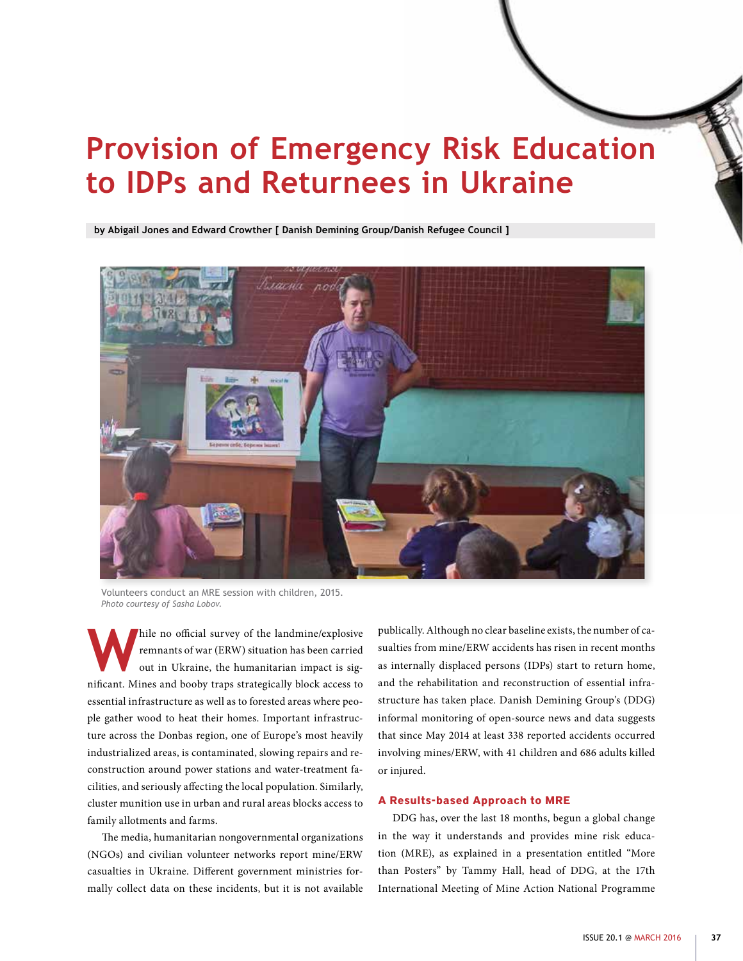# **Provision of Emergency Risk Education to IDPs and Returnees in Ukraine**

**by Abigail Jones and Edward Crowther [ Danish Demining Group/Danish Refugee Council ]**



Volunteers conduct an MRE session with children, 2015. *Photo courtesy of Sasha Lobov.*

**W**hile no official survey of the landmine/explosive remnants of war (ERW) situation has been carried out in Ukraine, the humanitarian impact is significant. Mines and booby traps strategically block access to essential infrastructure as well as to forested areas where people gather wood to heat their homes. Important infrastructure across the Donbas region, one of Europe's most heavily industrialized areas, is contaminated, slowing repairs and reconstruction around power stations and water-treatment facilities, and seriously affecting the local population. Similarly, cluster munition use in urban and rural areas blocks access to family allotments and farms.

The media, humanitarian nongovernmental organizations (NGOs) and civilian volunteer networks report mine/ERW casualties in Ukraine. Different government ministries formally collect data on these incidents, but it is not available publically. Although no clear baseline exists, the number of casualties from mine/ERW accidents has risen in recent months as internally displaced persons (IDPs) start to return home, and the rehabilitation and reconstruction of essential infrastructure has taken place. Danish Demining Group's (DDG) informal monitoring of open-source news and data suggests that since May 2014 at least 338 reported accidents occurred involving mines/ERW, with 41 children and 686 adults killed or injured.

#### **A Results-based Approach to MRE**

DDG has, over the last 18 months, begun a global change in the way it understands and provides mine risk education (MRE), as explained in a presentation entitled "More than Posters" by Tammy Hall, head of DDG, at the 17th International Meeting of Mine Action National Programme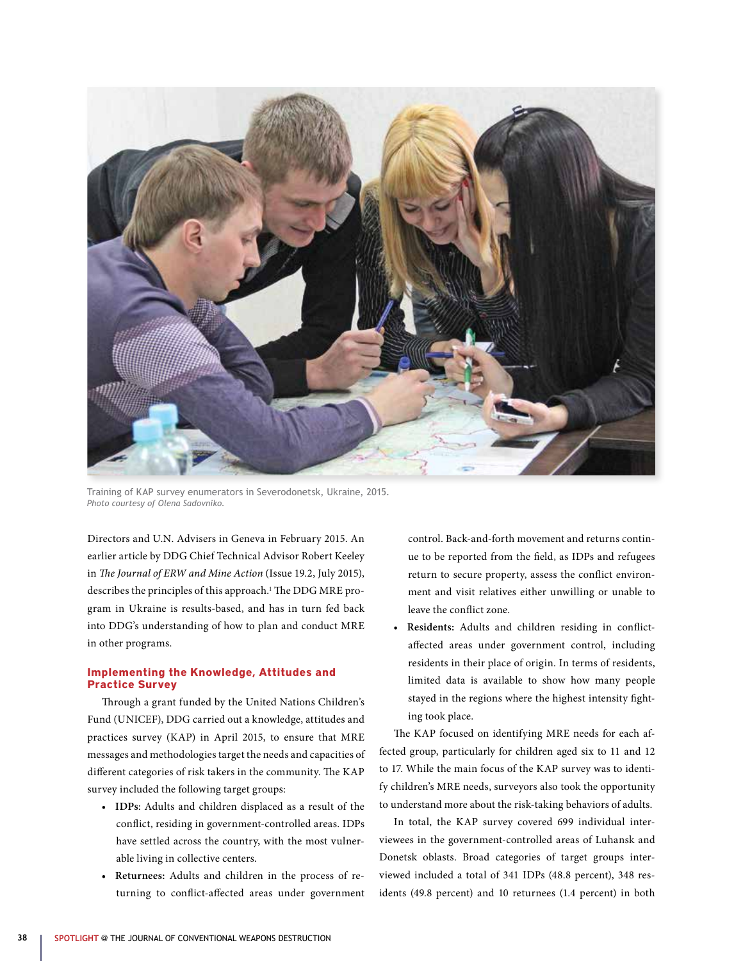

Training of KAP survey enumerators in Severodonetsk, Ukraine, 2015. *Photo courtesy of Olena Sadovniko.*

Directors and U.N. Advisers in Geneva in February 2015. An earlier article by DDG Chief Technical Advisor Robert Keeley in *The Journal of ERW and Mine Action* (Issue 19.2, July 2015), describes the principles of this approach.<sup>1</sup> The DDG MRE program in Ukraine is results-based, and has in turn fed back into DDG's understanding of how to plan and conduct MRE in other programs.

### **Implementing the Knowledge, Attitudes and Practice Survey**

Through a grant funded by the United Nations Children's Fund (UNICEF), DDG carried out a knowledge, attitudes and practices survey (KAP) in April 2015, to ensure that MRE messages and methodologies target the needs and capacities of different categories of risk takers in the community. The KAP survey included the following target groups:

- **• IDPs**: Adults and children displaced as a result of the conflict, residing in government-controlled areas. IDPs have settled across the country, with the most vulnerable living in collective centers.
- **• Returnees:** Adults and children in the process of returning to conflict-affected areas under government

control. Back-and-forth movement and returns continue to be reported from the field, as IDPs and refugees return to secure property, assess the conflict environment and visit relatives either unwilling or unable to leave the conflict zone.

**• Residents:** Adults and children residing in conflictaffected areas under government control, including residents in their place of origin. In terms of residents, limited data is available to show how many people stayed in the regions where the highest intensity fighting took place.

The KAP focused on identifying MRE needs for each affected group, particularly for children aged six to 11 and 12 to 17. While the main focus of the KAP survey was to identify children's MRE needs, surveyors also took the opportunity to understand more about the risk-taking behaviors of adults.

In total, the KAP survey covered 699 individual interviewees in the government-controlled areas of Luhansk and Donetsk oblasts. Broad categories of target groups interviewed included a total of 341 IDPs (48.8 percent), 348 residents (49.8 percent) and 10 returnees (1.4 percent) in both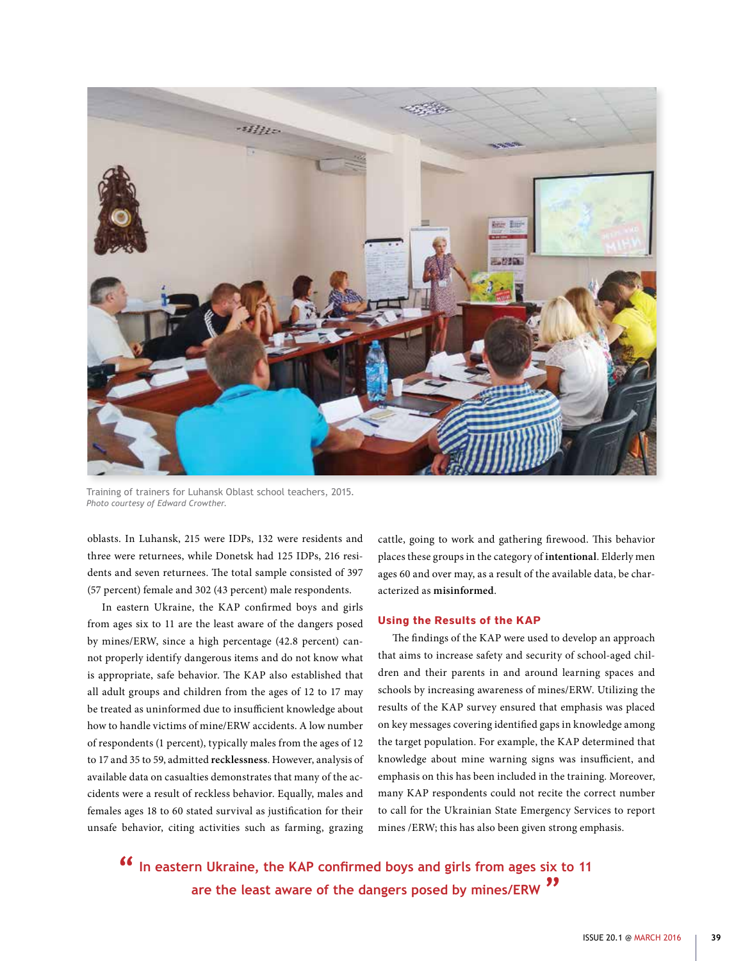

Training of trainers for Luhansk Oblast school teachers, 2015. *Photo courtesy of Edward Crowther.*

oblasts. In Luhansk, 215 were IDPs, 132 were residents and three were returnees, while Donetsk had 125 IDPs, 216 residents and seven returnees. The total sample consisted of 397 (57 percent) female and 302 (43 percent) male respondents.

In eastern Ukraine, the KAP confirmed boys and girls from ages six to 11 are the least aware of the dangers posed by mines/ERW, since a high percentage (42.8 percent) cannot properly identify dangerous items and do not know what is appropriate, safe behavior. The KAP also established that all adult groups and children from the ages of 12 to 17 may be treated as uninformed due to insufficient knowledge about how to handle victims of mine/ERW accidents. A low number of respondents (1 percent), typically males from the ages of 12 to 17 and 35 to 59, admitted **recklessness**. However, analysis of available data on casualties demonstrates that many of the accidents were a result of reckless behavior. Equally, males and females ages 18 to 60 stated survival as justification for their unsafe behavior, citing activities such as farming, grazing cattle, going to work and gathering firewood. This behavior places these groups in the category of **intentional**. Elderly men ages 60 and over may, as a result of the available data, be characterized as **misinformed**.

#### **Using the Results of the KAP**

The findings of the KAP were used to develop an approach that aims to increase safety and security of school-aged children and their parents in and around learning spaces and schools by increasing awareness of mines/ERW. Utilizing the results of the KAP survey ensured that emphasis was placed on key messages covering identified gaps in knowledge among the target population. For example, the KAP determined that knowledge about mine warning signs was insufficient, and emphasis on this has been included in the training. Moreover, many KAP respondents could not recite the correct number to call for the Ukrainian State Emergency Services to report mines /ERW; this has also been given strong emphasis.

**In eastern Ukraine, the KAP confirmed boys and girls from ages six to 11 are the least aware of the dangers posed by mines/ERW "**